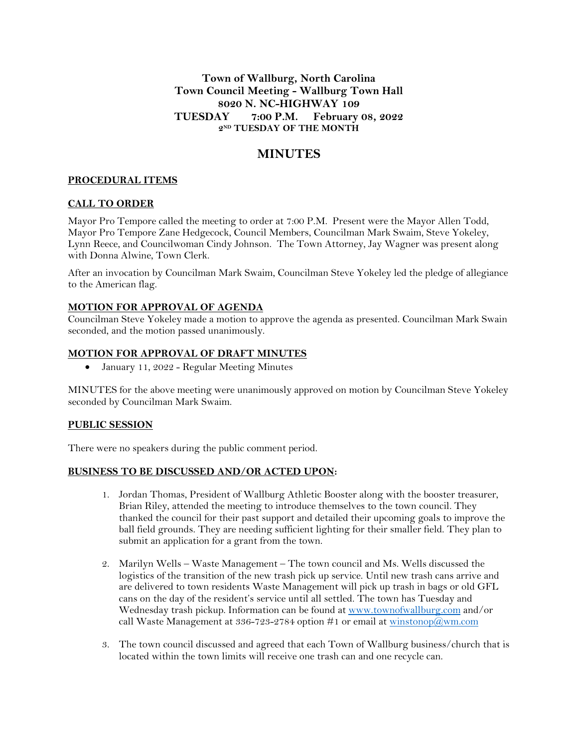## **Town of Wallburg, North Carolina Town Council Meeting - Wallburg Town Hall 8020 N. NC-HIGHWAY 109 TUESDAY 7:00 P.M. February 08, 2022 2 ND TUESDAY OF THE MONTH**

# **MINUTES**

## **PROCEDURAL ITEMS**

## **CALL TO ORDER**

Mayor Pro Tempore called the meeting to order at 7:00 P.M. Present were the Mayor Allen Todd, Mayor Pro Tempore Zane Hedgecock, Council Members, Councilman Mark Swaim, Steve Yokeley, Lynn Reece, and Councilwoman Cindy Johnson. The Town Attorney, Jay Wagner was present along with Donna Alwine, Town Clerk.

After an invocation by Councilman Mark Swaim, Councilman Steve Yokeley led the pledge of allegiance to the American flag.

#### **MOTION FOR APPROVAL OF AGENDA**

Councilman Steve Yokeley made a motion to approve the agenda as presented. Councilman Mark Swain seconded, and the motion passed unanimously.

#### **MOTION FOR APPROVAL OF DRAFT MINUTES**

January 11, 2022 - Regular Meeting Minutes

MINUTES for the above meeting were unanimously approved on motion by Councilman Steve Yokeley seconded by Councilman Mark Swaim.

## **PUBLIC SESSION**

There were no speakers during the public comment period.

#### **BUSINESS TO BE DISCUSSED AND/OR ACTED UPON:**

- 1. Jordan Thomas, President of Wallburg Athletic Booster along with the booster treasurer, Brian Riley, attended the meeting to introduce themselves to the town council. They thanked the council for their past support and detailed their upcoming goals to improve the ball field grounds. They are needing sufficient lighting for their smaller field. They plan to submit an application for a grant from the town.
- 2. Marilyn Wells Waste Management The town council and Ms. Wells discussed the logistics of the transition of the new trash pick up service. Until new trash cans arrive and are delivered to town residents Waste Management will pick up trash in bags or old GFL cans on the day of the resident's service until all settled. The town has Tuesday and Wednesday trash pickup. Information can be found at [www.townofwallburg.com](http://www.townofwallburg.com/) and/or call Waste Management at 336-723-2784 option #1 or email at  $\frac{\text{winstonop}(a)}{\text{wm.com}}$
- 3. The town council discussed and agreed that each Town of Wallburg business/church that is located within the town limits will receive one trash can and one recycle can.